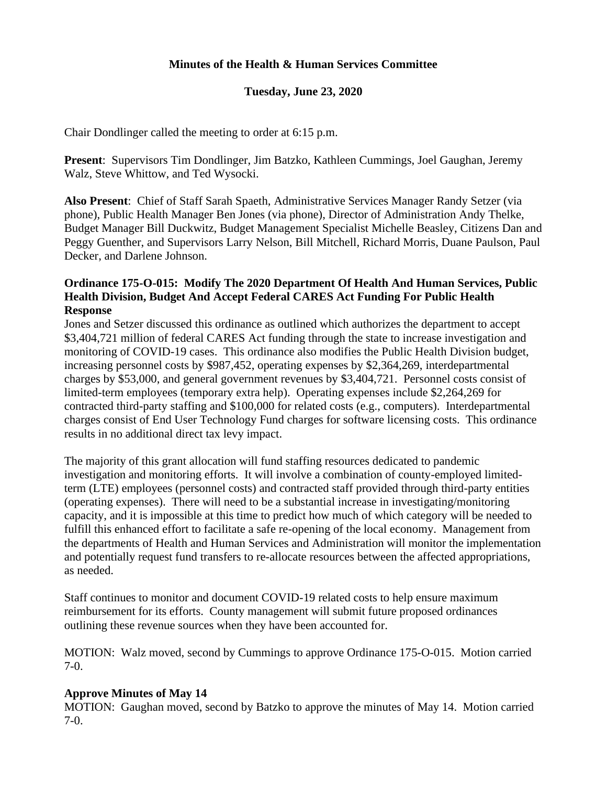## **Minutes of the Health & Human Services Committee**

## **Tuesday, June 23, 2020**

Chair Dondlinger called the meeting to order at 6:15 p.m.

**Present**: Supervisors Tim Dondlinger, Jim Batzko, Kathleen Cummings, Joel Gaughan, Jeremy Walz, Steve Whittow, and Ted Wysocki.

**Also Present**: Chief of Staff Sarah Spaeth, Administrative Services Manager Randy Setzer (via phone), Public Health Manager Ben Jones (via phone), Director of Administration Andy Thelke, Budget Manager Bill Duckwitz, Budget Management Specialist Michelle Beasley, Citizens Dan and Peggy Guenther, and Supervisors Larry Nelson, Bill Mitchell, Richard Morris, Duane Paulson, Paul Decker, and Darlene Johnson.

### **Ordinance 175-O-015: Modify The 2020 Department Of Health And Human Services, Public Health Division, Budget And Accept Federal CARES Act Funding For Public Health Response**

Jones and Setzer discussed this ordinance as outlined which authorizes the department to accept \$3,404,721 million of federal CARES Act funding through the state to increase investigation and monitoring of COVID-19 cases. This ordinance also modifies the Public Health Division budget, increasing personnel costs by \$987,452, operating expenses by \$2,364,269, interdepartmental charges by \$53,000, and general government revenues by \$3,404,721. Personnel costs consist of limited-term employees (temporary extra help). Operating expenses include \$2,264,269 for contracted third-party staffing and \$100,000 for related costs (e.g., computers). Interdepartmental charges consist of End User Technology Fund charges for software licensing costs. This ordinance results in no additional direct tax levy impact.

The majority of this grant allocation will fund staffing resources dedicated to pandemic investigation and monitoring efforts. It will involve a combination of county-employed limitedterm (LTE) employees (personnel costs) and contracted staff provided through third-party entities (operating expenses). There will need to be a substantial increase in investigating/monitoring capacity, and it is impossible at this time to predict how much of which category will be needed to fulfill this enhanced effort to facilitate a safe re-opening of the local economy. Management from the departments of Health and Human Services and Administration will monitor the implementation and potentially request fund transfers to re-allocate resources between the affected appropriations, as needed.

Staff continues to monitor and document COVID-19 related costs to help ensure maximum reimbursement for its efforts. County management will submit future proposed ordinances outlining these revenue sources when they have been accounted for.

MOTION: Walz moved, second by Cummings to approve Ordinance 175-O-015. Motion carried 7-0.

## **Approve Minutes of May 14**

MOTION: Gaughan moved, second by Batzko to approve the minutes of May 14. Motion carried 7-0.